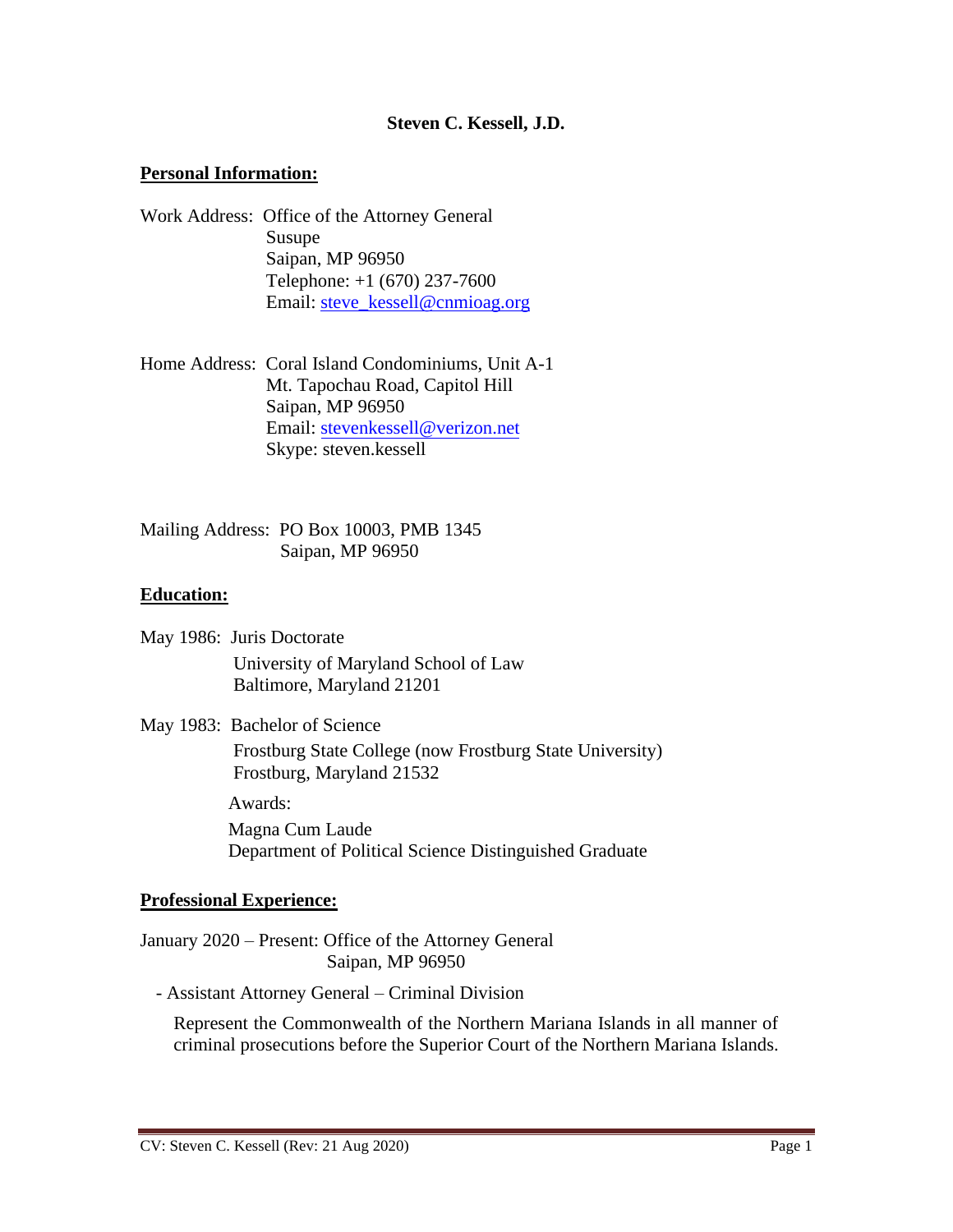### **Steven C. Kessell, J.D.**

#### **Personal Information:**

- Work Address: Office of the Attorney General Susupe Saipan, MP 96950 Telephone: +1 (670) 237-7600 Email: [steve\\_kessell@cnmioag.org](mailto:steve_kessell@cnmioag.org)
- Home Address: Coral Island Condominiums, Unit A-1 Mt. Tapochau Road, Capitol Hill Saipan, MP 96950 Email: stevenkessell@verizon.net Skype[: steven.kessell](mailto:stevenkessell@verizon.net)

Mailing Address: PO Box 10003, PMB 1345 Saipan, MP 96950

#### **Education:**

- May 1986: Juris Doctorate University of Maryland School of Law Baltimore, Maryland 21201
- May 1983: Bachelor of Science

Frostburg State College (now Frostburg State University) Frostburg, Maryland 21532

Awards:

Magna Cum Laude Department of Political Science Distinguished Graduate

#### **Professional Experience:**

January 2020 – Present: Office of the Attorney General Saipan, MP 96950

- Assistant Attorney General – Criminal Division

Represent the Commonwealth of the Northern Mariana Islands in all manner of criminal prosecutions before the Superior Court of the Northern Mariana Islands.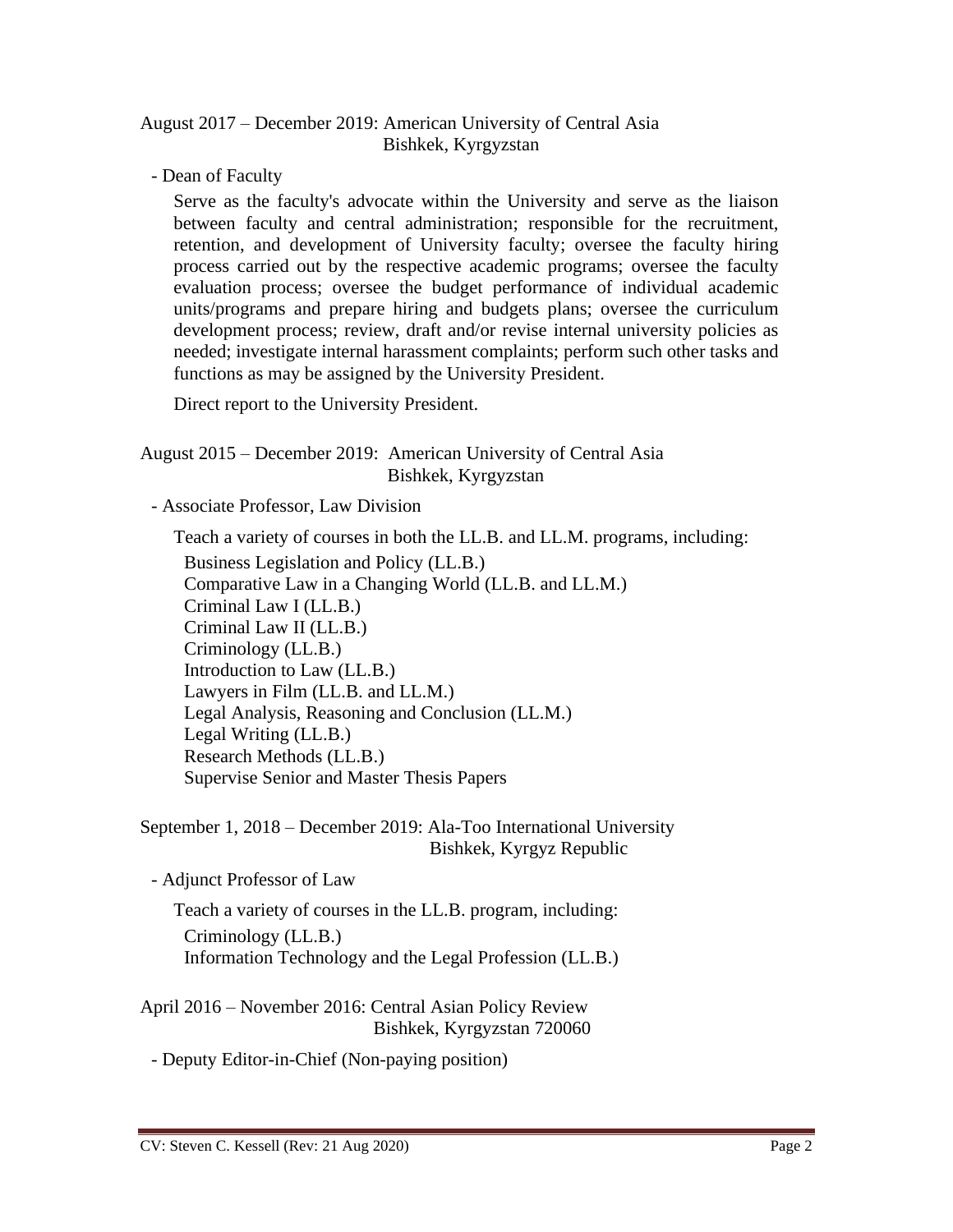## August 2017 – December 2019: American University of Central Asia Bishkek, Kyrgyzstan

- Dean of Faculty

Serve as the faculty's advocate within the University and serve as the liaison between faculty and central administration; responsible for the recruitment, retention, and development of University faculty; oversee the faculty hiring process carried out by the respective academic programs; oversee the faculty evaluation process; oversee the budget performance of individual academic units/programs and prepare hiring and budgets plans; oversee the curriculum development process; review, draft and/or revise internal university policies as needed; investigate internal harassment complaints; perform such other tasks and functions as may be assigned by the University President.

Direct report to the University President.

# August 2015 – December 2019: American University of Central Asia Bishkek, Kyrgyzstan

- Associate Professor, Law Division

Teach a variety of courses in both the LL.B. and LL.M. programs, including:

Business Legislation and Policy (LL.B.) Comparative Law in a Changing World (LL.B. and LL.M.) Criminal Law I (LL.B.) Criminal Law II (LL.B.) Criminology (LL.B.) Introduction to Law (LL.B.) Lawyers in Film (LL.B. and LL.M.) Legal Analysis, Reasoning and Conclusion (LL.M.) Legal Writing (LL.B.) Research Methods (LL.B.) Supervise Senior and Master Thesis Papers

September 1, 2018 – December 2019: Ala-Too International University Bishkek, Kyrgyz Republic

- Adjunct Professor of Law

Teach a variety of courses in the LL.B. program, including: Criminology (LL.B.) Information Technology and the Legal Profession (LL.B.)

April 2016 – November 2016: Central Asian Policy Review Bishkek, Kyrgyzstan 720060

- Deputy Editor-in-Chief (Non-paying position)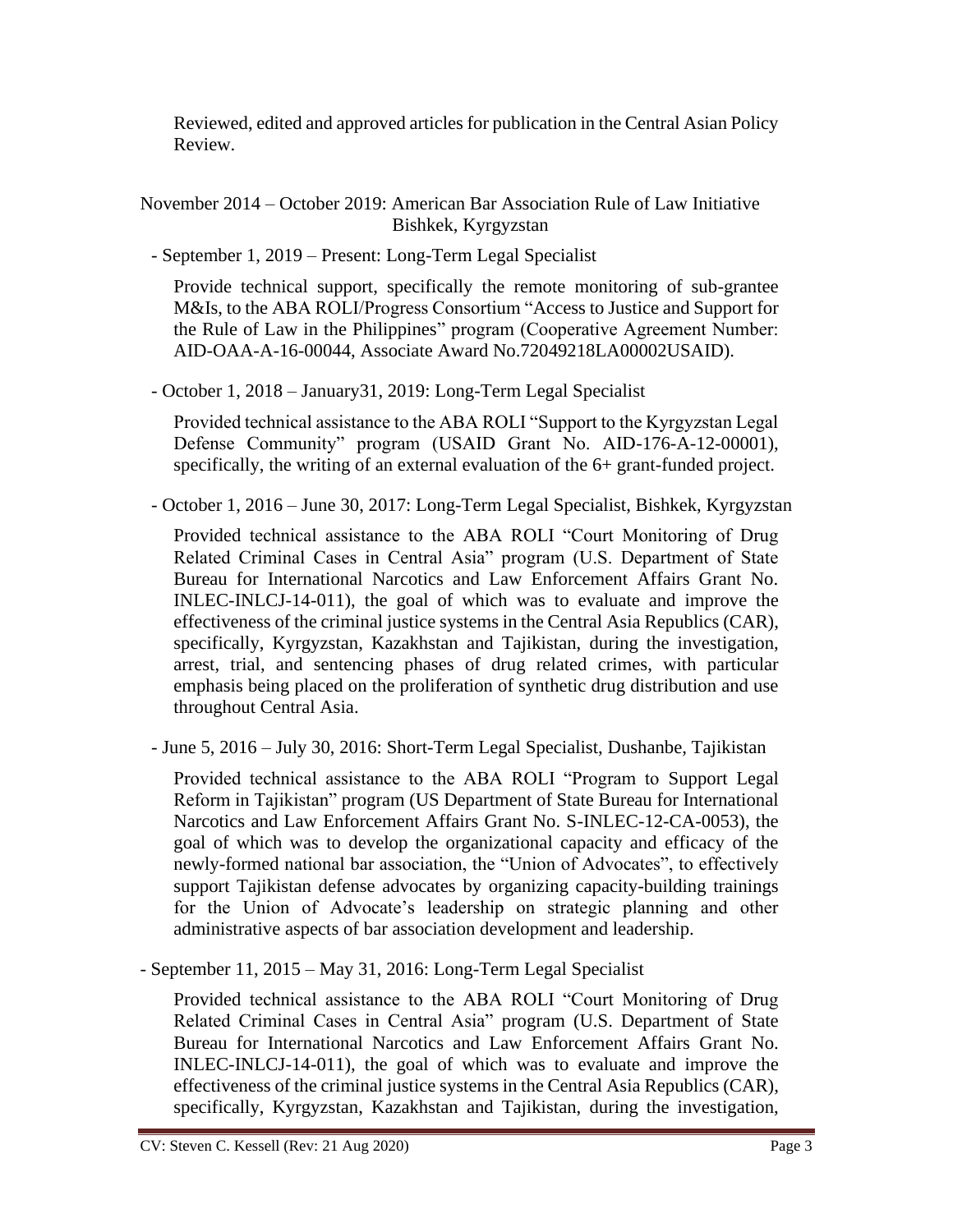Reviewed, edited and approved articles for publication in the Central Asian Policy Review.

November 2014 – October 2019: American Bar Association Rule of Law Initiative Bishkek, Kyrgyzstan

- September 1, 2019 – Present: Long-Term Legal Specialist

Provide technical support, specifically the remote monitoring of sub-grantee M&Is, to the ABA ROLI/Progress Consortium "Access to Justice and Support for the Rule of Law in the Philippines" program (Cooperative Agreement Number: AID-OAA-A-16-00044, Associate Award No.72049218LA00002USAID).

- October 1, 2018 – January31, 2019: Long-Term Legal Specialist

Provided technical assistance to the ABA ROLI "Support to the Kyrgyzstan Legal Defense Community" program (USAID Grant No. AID-176-A-12-00001), specifically, the writing of an external evaluation of the 6+ grant-funded project.

- October 1, 2016 – June 30, 2017: Long-Term Legal Specialist, Bishkek, Kyrgyzstan

Provided technical assistance to the ABA ROLI "Court Monitoring of Drug Related Criminal Cases in Central Asia" program (U.S. Department of State Bureau for International Narcotics and Law Enforcement Affairs Grant No. INLEC-INLCJ-14-011), the goal of which was to evaluate and improve the effectiveness of the criminal justice systems in the Central Asia Republics (CAR), specifically, Kyrgyzstan, Kazakhstan and Tajikistan, during the investigation, arrest, trial, and sentencing phases of drug related crimes, with particular emphasis being placed on the proliferation of synthetic drug distribution and use throughout Central Asia.

- June 5, 2016 – July 30, 2016: Short-Term Legal Specialist, Dushanbe, Tajikistan

Provided technical assistance to the ABA ROLI "Program to Support Legal Reform in Tajikistan" program (US Department of State Bureau for International Narcotics and Law Enforcement Affairs Grant No. S-INLEC-12-CA-0053), the goal of which was to develop the organizational capacity and efficacy of the newly-formed national bar association, the "Union of Advocates", to effectively support Tajikistan defense advocates by organizing capacity-building trainings for the Union of Advocate's leadership on strategic planning and other administrative aspects of bar association development and leadership.

- September 11, 2015 – May 31, 2016: Long-Term Legal Specialist

Provided technical assistance to the ABA ROLI "Court Monitoring of Drug Related Criminal Cases in Central Asia" program (U.S. Department of State Bureau for International Narcotics and Law Enforcement Affairs Grant No. INLEC-INLCJ-14-011), the goal of which was to evaluate and improve the effectiveness of the criminal justice systems in the Central Asia Republics (CAR), specifically, Kyrgyzstan, Kazakhstan and Tajikistan, during the investigation,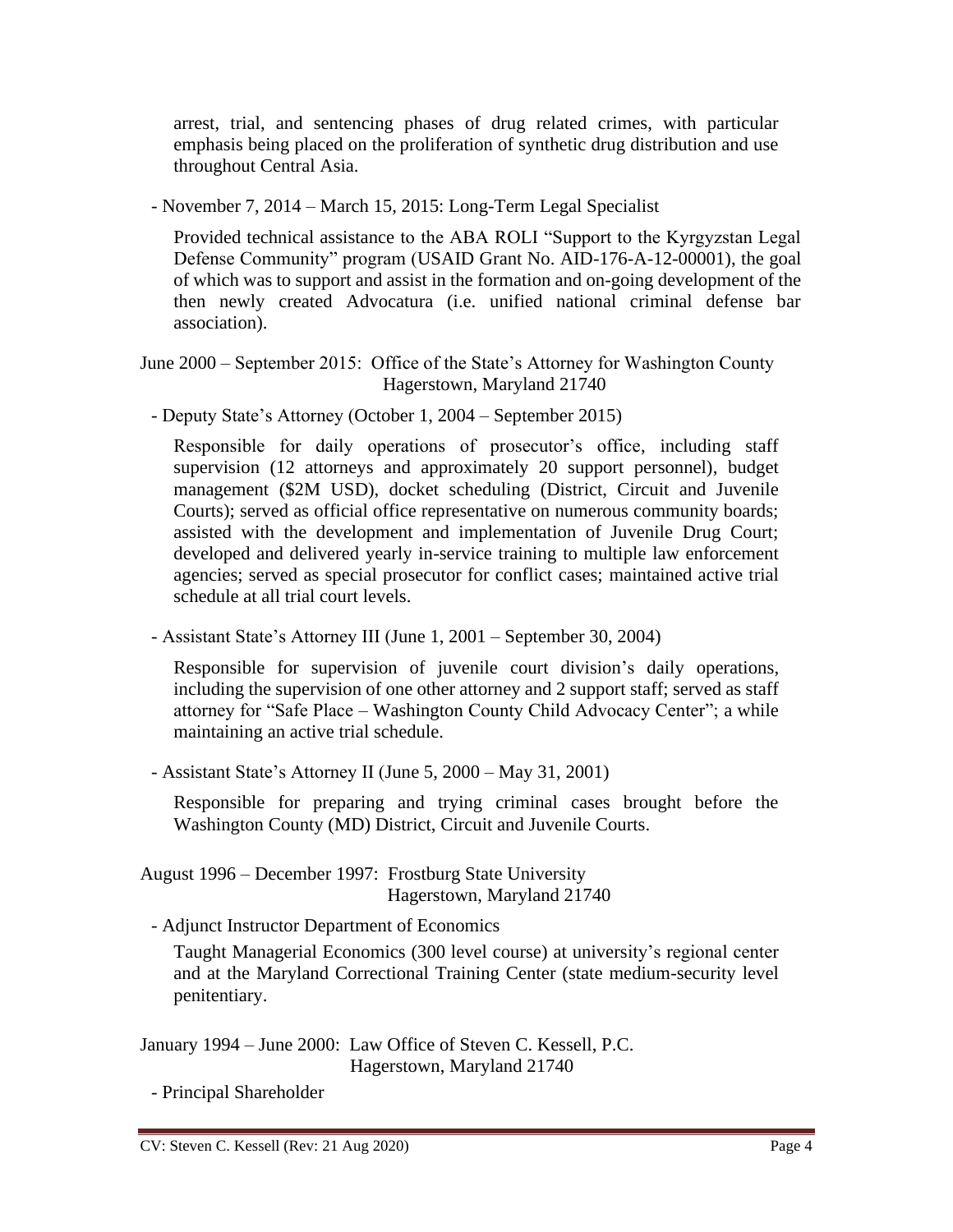arrest, trial, and sentencing phases of drug related crimes, with particular emphasis being placed on the proliferation of synthetic drug distribution and use throughout Central Asia.

- November 7, 2014 – March 15, 2015: Long-Term Legal Specialist

Provided technical assistance to the ABA ROLI "Support to the Kyrgyzstan Legal Defense Community" program (USAID Grant No. AID-176-A-12-00001), the goal of which was to support and assist in the formation and on-going development of the then newly created Advocatura (i.e. unified national criminal defense bar association).

June 2000 – September 2015: Office of the State's Attorney for Washington County Hagerstown, Maryland 21740

- Deputy State's Attorney (October 1, 2004 – September 2015)

Responsible for daily operations of prosecutor's office, including staff supervision (12 attorneys and approximately 20 support personnel), budget management (\$2M USD), docket scheduling (District, Circuit and Juvenile Courts); served as official office representative on numerous community boards; assisted with the development and implementation of Juvenile Drug Court; developed and delivered yearly in-service training to multiple law enforcement agencies; served as special prosecutor for conflict cases; maintained active trial schedule at all trial court levels.

- Assistant State's Attorney III (June 1, 2001 – September 30, 2004)

Responsible for supervision of juvenile court division's daily operations, including the supervision of one other attorney and 2 support staff; served as staff attorney for "Safe Place – Washington County Child Advocacy Center"; a while maintaining an active trial schedule.

- Assistant State's Attorney II (June 5, 2000 – May 31, 2001)

Responsible for preparing and trying criminal cases brought before the Washington County (MD) District, Circuit and Juvenile Courts.

August 1996 – December 1997: Frostburg State University Hagerstown, Maryland 21740

- Adjunct Instructor Department of Economics

Taught Managerial Economics (300 level course) at university's regional center and at the Maryland Correctional Training Center (state medium-security level penitentiary.

January 1994 – June 2000: Law Office of Steven C. Kessell, P.C. Hagerstown, Maryland 21740

- Principal Shareholder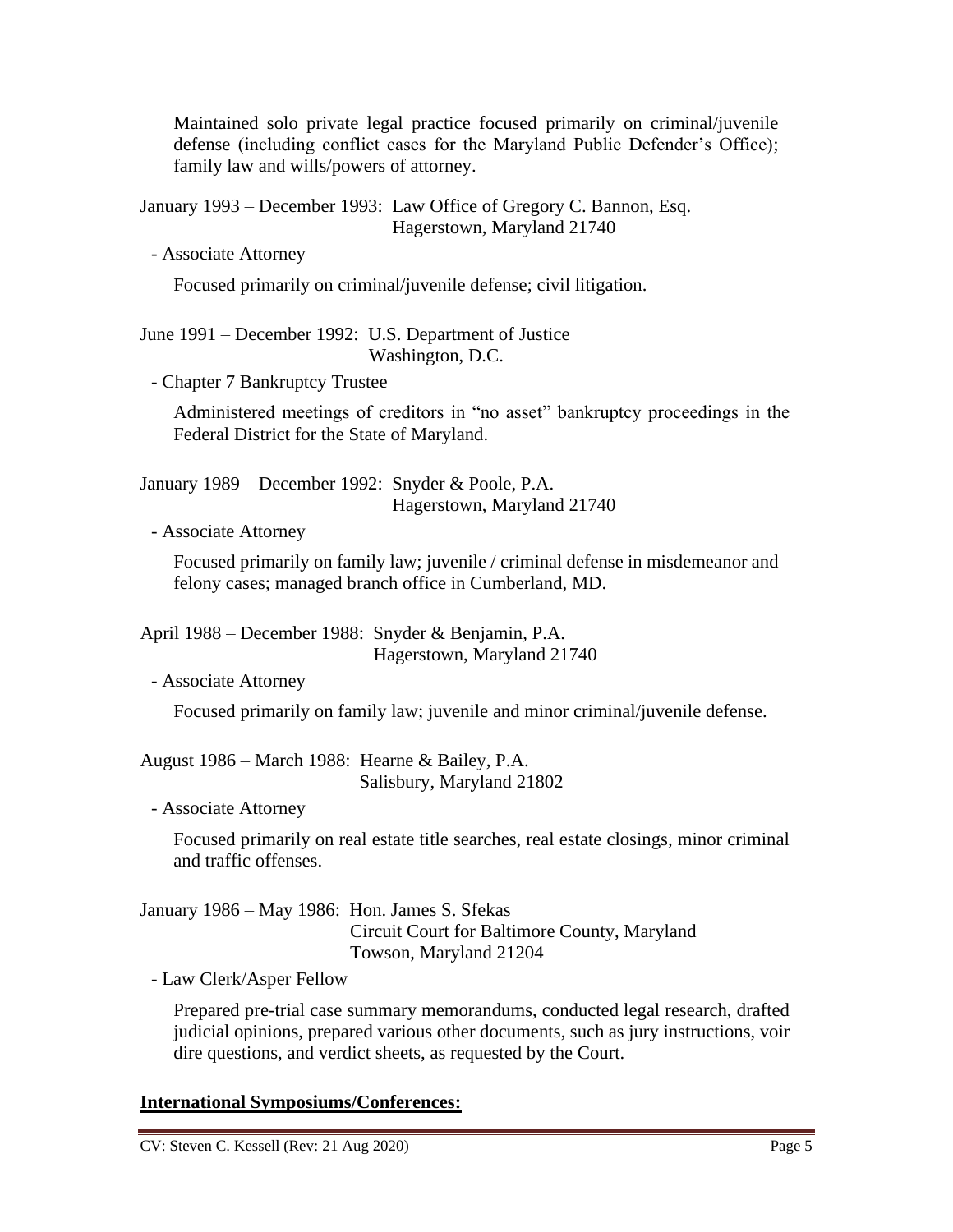Maintained solo private legal practice focused primarily on criminal/juvenile defense (including conflict cases for the Maryland Public Defender's Office); family law and wills/powers of attorney.

January 1993 – December 1993: Law Office of Gregory C. Bannon, Esq. Hagerstown, Maryland 21740

- Associate Attorney

Focused primarily on criminal/juvenile defense; civil litigation.

June 1991 – December 1992: U.S. Department of Justice Washington, D.C.

- Chapter 7 Bankruptcy Trustee

Administered meetings of creditors in "no asset" bankruptcy proceedings in the Federal District for the State of Maryland.

January 1989 – December 1992: Snyder & Poole, P.A. Hagerstown, Maryland 21740

- Associate Attorney

Focused primarily on family law; juvenile / criminal defense in misdemeanor and felony cases; managed branch office in Cumberland, MD.

April 1988 – December 1988: Snyder & Benjamin, P.A. Hagerstown, Maryland 21740

- Associate Attorney

Focused primarily on family law; juvenile and minor criminal/juvenile defense.

August 1986 – March 1988: Hearne & Bailey, P.A. Salisbury, Maryland 21802

- Associate Attorney

Focused primarily on real estate title searches, real estate closings, minor criminal and traffic offenses.

January 1986 – May 1986: Hon. James S. Sfekas Circuit Court for Baltimore County, Maryland Towson, Maryland 21204

- Law Clerk/Asper Fellow

Prepared pre-trial case summary memorandums, conducted legal research, drafted judicial opinions, prepared various other documents, such as jury instructions, voir dire questions, and verdict sheets, as requested by the Court.

# **International Symposiums/Conferences:**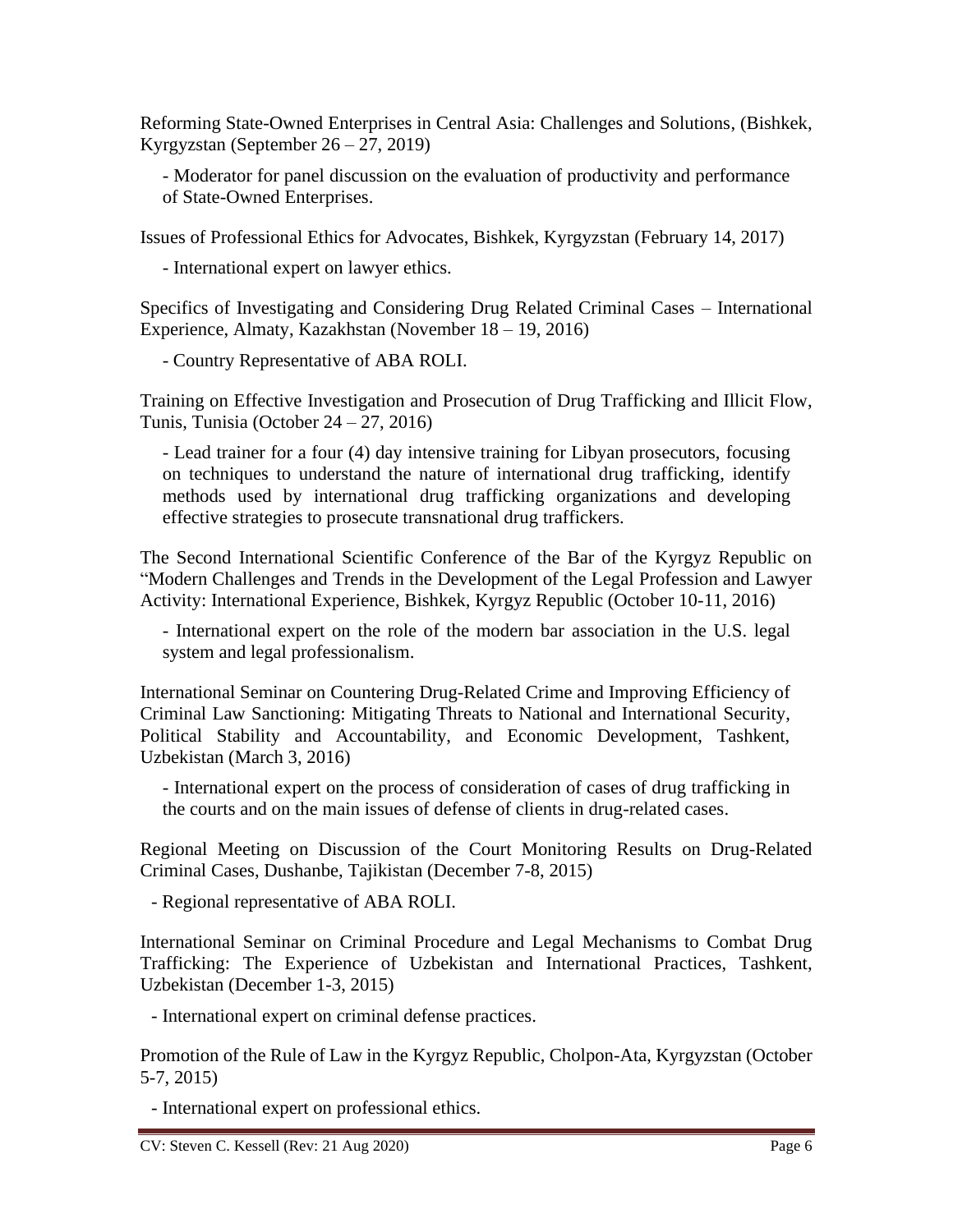Reforming State-Owned Enterprises in Central Asia: Challenges and Solutions, (Bishkek, Kyrgyzstan (September 26 – 27, 2019)

- Moderator for panel discussion on the evaluation of productivity and performance of State-Owned Enterprises.

Issues of Professional Ethics for Advocates, Bishkek, Kyrgyzstan (February 14, 2017)

- International expert on lawyer ethics.

Specifics of Investigating and Considering Drug Related Criminal Cases – International Experience, Almaty, Kazakhstan (November 18 – 19, 2016)

- Country Representative of ABA ROLI.

Training on Effective Investigation and Prosecution of Drug Trafficking and Illicit Flow, Tunis, Tunisia (October 24 – 27, 2016)

- Lead trainer for a four (4) day intensive training for Libyan prosecutors, focusing on techniques to understand the nature of international drug trafficking, identify methods used by international drug trafficking organizations and developing effective strategies to prosecute transnational drug traffickers.

The Second International Scientific Conference of the Bar of the Kyrgyz Republic on "Modern Challenges and Trends in the Development of the Legal Profession and Lawyer Activity: International Experience, Bishkek, Kyrgyz Republic (October 10-11, 2016)

- International expert on the role of the modern bar association in the U.S. legal system and legal professionalism.

International Seminar on Countering Drug-Related Crime and Improving Efficiency of Criminal Law Sanctioning: Mitigating Threats to National and International Security, Political Stability and Accountability, and Economic Development, Tashkent, Uzbekistan (March 3, 2016)

- International expert on the process of consideration of cases of drug trafficking in the courts and on the main issues of defense of clients in drug-related cases.

Regional Meeting on Discussion of the Court Monitoring Results on Drug-Related Criminal Cases, Dushanbe, Tajikistan (December 7-8, 2015)

- Regional representative of ABA ROLI.

International Seminar on Criminal Procedure and Legal Mechanisms to Combat Drug Trafficking: The Experience of Uzbekistan and International Practices, Tashkent, Uzbekistan (December 1-3, 2015)

- International expert on criminal defense practices.

Promotion of the Rule of Law in the Kyrgyz Republic, Cholpon-Ata, Kyrgyzstan (October 5-7, 2015)

- International expert on professional ethics.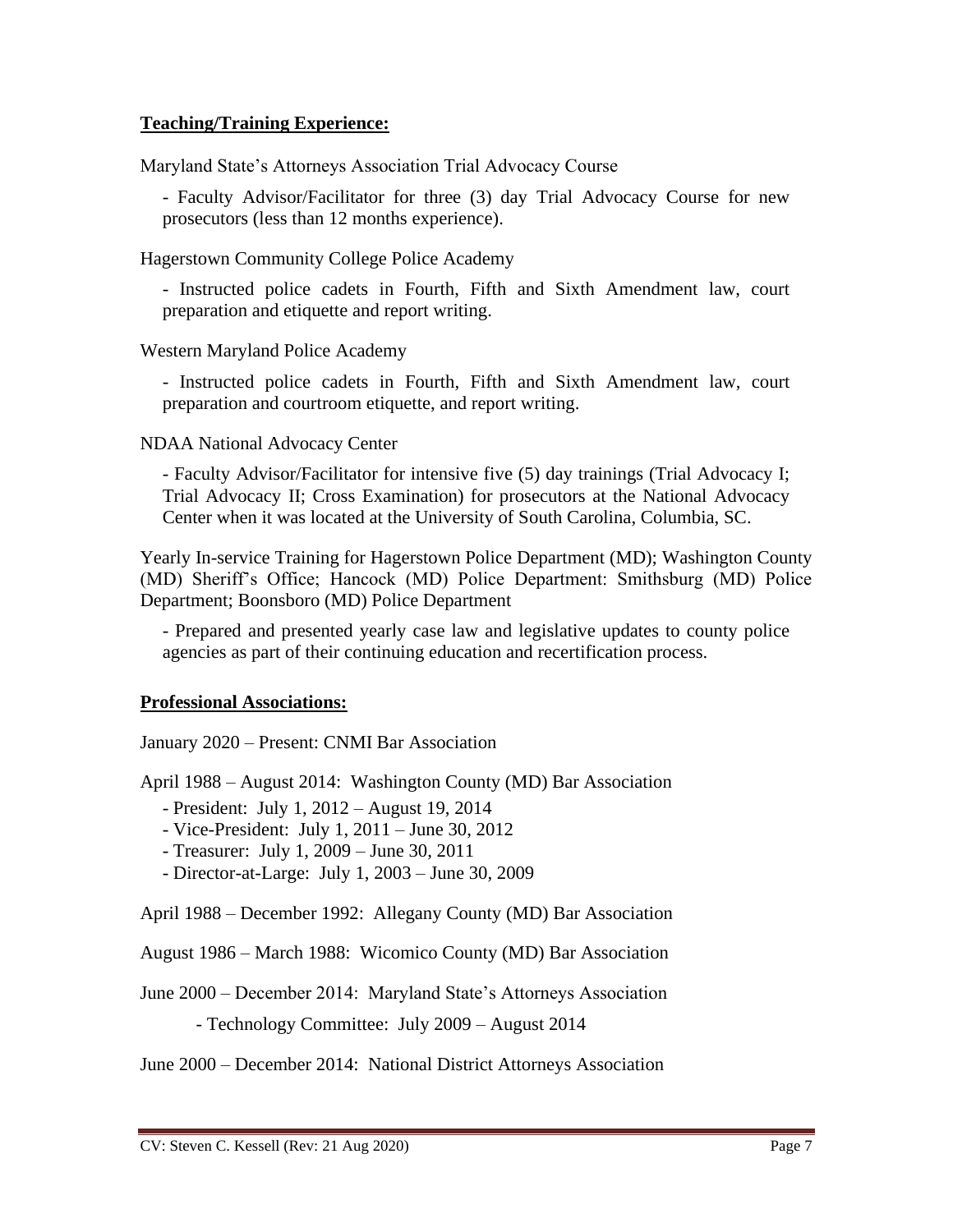## **Teaching/Training Experience:**

Maryland State's Attorneys Association Trial Advocacy Course

- Faculty Advisor/Facilitator for three (3) day Trial Advocacy Course for new prosecutors (less than 12 months experience).

Hagerstown Community College Police Academy

- Instructed police cadets in Fourth, Fifth and Sixth Amendment law, court preparation and etiquette and report writing.

Western Maryland Police Academy

- Instructed police cadets in Fourth, Fifth and Sixth Amendment law, court preparation and courtroom etiquette, and report writing.

NDAA National Advocacy Center

- Faculty Advisor/Facilitator for intensive five (5) day trainings (Trial Advocacy I; Trial Advocacy II; Cross Examination) for prosecutors at the National Advocacy Center when it was located at the University of South Carolina, Columbia, SC.

Yearly In-service Training for Hagerstown Police Department (MD); Washington County (MD) Sheriff's Office; Hancock (MD) Police Department: Smithsburg (MD) Police Department; Boonsboro (MD) Police Department

- Prepared and presented yearly case law and legislative updates to county police agencies as part of their continuing education and recertification process.

#### **Professional Associations:**

January 2020 – Present: CNMI Bar Association

April 1988 – August 2014: Washington County (MD) Bar Association

- President: July 1, 2012 – August 19, 2014

- Vice-President: July 1, 2011 – June 30, 2012

- Treasurer: July 1, 2009 – June 30, 2011

- Director-at-Large: July 1, 2003 – June 30, 2009

April 1988 – December 1992: Allegany County (MD) Bar Association

August 1986 – March 1988: Wicomico County (MD) Bar Association

June 2000 – December 2014: Maryland State's Attorneys Association

- Technology Committee: July 2009 – August 2014

June 2000 – December 2014: National District Attorneys Association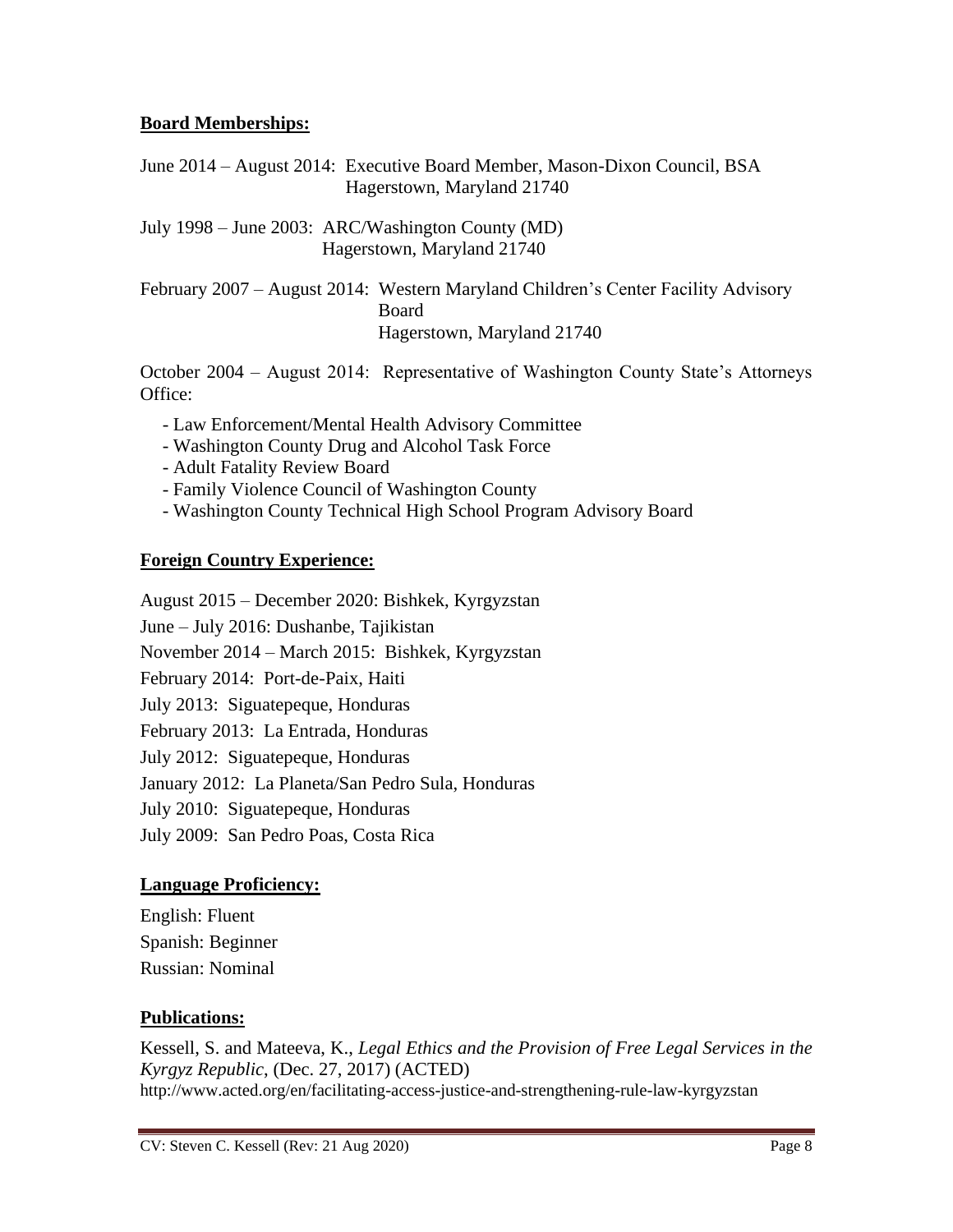# **Board Memberships:**

June 2014 – August 2014: Executive Board Member, Mason-Dixon Council, BSA Hagerstown, Maryland 21740

July 1998 – June 2003: ARC/Washington County (MD) Hagerstown, Maryland 21740

February 2007 – August 2014: Western Maryland Children's Center Facility Advisory Board Hagerstown, Maryland 21740

October 2004 – August 2014: Representative of Washington County State's Attorneys Office:

- Law Enforcement/Mental Health Advisory Committee
- Washington County Drug and Alcohol Task Force
- Adult Fatality Review Board
- Family Violence Council of Washington County
- Washington County Technical High School Program Advisory Board

# **Foreign Country Experience:**

August 2015 – December 2020: Bishkek, Kyrgyzstan June – July 2016: Dushanbe, Tajikistan November 2014 – March 2015: Bishkek, Kyrgyzstan February 2014: Port-de-Paix, Haiti July 2013: Siguatepeque, Honduras February 2013: La Entrada, Honduras July 2012: Siguatepeque, Honduras January 2012: La Planeta/San Pedro Sula, Honduras July 2010: Siguatepeque, Honduras July 2009: San Pedro Poas, Costa Rica

# **Language Proficiency:**

English: Fluent Spanish: Beginner Russian: Nominal

# **Publications:**

Kessell, S. and Mateeva, K., *Legal Ethics and the Provision of Free Legal Services in the Kyrgyz Republic*, (Dec. 27, 2017) (ACTED) <http://www.acted.org/en/facilitating-access-justice-and-strengthening-rule-law-kyrgyzstan>